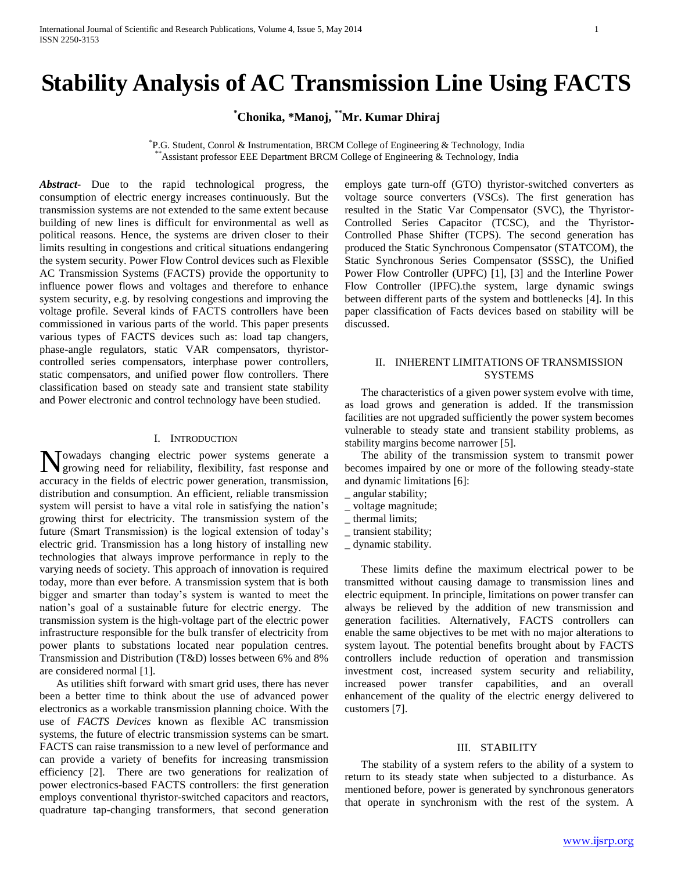# **Stability Analysis of AC Transmission Line Using FACTS**

**\*Chonika, \*Manoj, \*\*Mr. Kumar Dhiraj**

\* P.G. Student, Conrol & Instrumentation, BRCM College of Engineering & Technology, India \*\*Assistant professor EEE Department BRCM College of Engineering & Technology, India

*Abstract***-** Due to the rapid technological progress, the consumption of electric energy increases continuously. But the transmission systems are not extended to the same extent because building of new lines is difficult for environmental as well as political reasons. Hence, the systems are driven closer to their limits resulting in congestions and critical situations endangering the system security. Power Flow Control devices such as Flexible AC Transmission Systems (FACTS) provide the opportunity to influence power flows and voltages and therefore to enhance system security, e.g. by resolving congestions and improving the voltage profile. Several kinds of FACTS controllers have been commissioned in various parts of the world. This paper presents various types of FACTS devices such as: load tap changers, phase-angle regulators, static VAR compensators, thyristorcontrolled series compensators, interphase power controllers, static compensators, and unified power flow controllers. There classification based on steady sate and transient state stability and Power electronic and control technology have been studied.

## I. INTRODUCTION

owadays changing electric power systems generate a Nowadays changing electric power systems generate a growing need for reliability, flexibility, fast response and accuracy in the fields of electric power generation, transmission, distribution and consumption. An efficient, reliable transmission system will persist to have a vital role in satisfying the nation's growing thirst for electricity. The transmission system of the future (Smart Transmission) is the logical extension of today's electric grid. Transmission has a long history of installing new technologies that always improve performance in reply to the varying needs of society. This approach of innovation is required today, more than ever before. A transmission system that is both bigger and smarter than today's system is wanted to meet the nation's goal of a sustainable future for electric energy. The transmission system is the high-voltage part of the electric power infrastructure responsible for the bulk transfer of electricity from power plants to substations located near population centres. Transmission and Distribution (T&D) losses between 6% and 8% are considered normal [1].

 As utilities shift forward with smart grid uses, there has never been a better time to think about the use of advanced power electronics as a workable transmission planning choice. With the use of *FACTS Devices* known as flexible AC transmission systems, the future of electric transmission systems can be smart. FACTS can raise transmission to a new level of performance and can provide a variety of benefits for increasing transmission efficiency [2]. There are two generations for realization of power electronics-based FACTS controllers: the first generation employs conventional thyristor-switched capacitors and reactors, quadrature tap-changing transformers, that second generation

employs gate turn-off (GTO) thyristor-switched converters as voltage source converters (VSCs). The first generation has resulted in the Static Var Compensator (SVC), the Thyristor-Controlled Series Capacitor (TCSC), and the Thyristor-Controlled Phase Shifter (TCPS). The second generation has produced the Static Synchronous Compensator (STATCOM), the Static Synchronous Series Compensator (SSSC), the Unified Power Flow Controller (UPFC) [1], [3] and the Interline Power Flow Controller (IPFC).the system, large dynamic swings between different parts of the system and bottlenecks [4]. In this paper classification of Facts devices based on stability will be discussed.

## II. INHERENT LIMITATIONS OF TRANSMISSION SYSTEMS

 The characteristics of a given power system evolve with time, as load grows and generation is added. If the transmission facilities are not upgraded sufficiently the power system becomes vulnerable to steady state and transient stability problems, as stability margins become narrower [5].

 The ability of the transmission system to transmit power becomes impaired by one or more of the following steady-state and dynamic limitations [6]:

- \_ angular stability;
- \_ voltage magnitude;
- \_ thermal limits;
- \_ transient stability;
- \_ dynamic stability.

 These limits define the maximum electrical power to be transmitted without causing damage to transmission lines and electric equipment. In principle, limitations on power transfer can always be relieved by the addition of new transmission and generation facilities. Alternatively, FACTS controllers can enable the same objectives to be met with no major alterations to system layout. The potential benefits brought about by FACTS controllers include reduction of operation and transmission investment cost, increased system security and reliability, increased power transfer capabilities, and an overall enhancement of the quality of the electric energy delivered to customers [7].

## III. STABILITY

 The stability of a system refers to the ability of a system to return to its steady state when subjected to a disturbance. As mentioned before, power is generated by synchronous generators that operate in synchronism with the rest of the system. A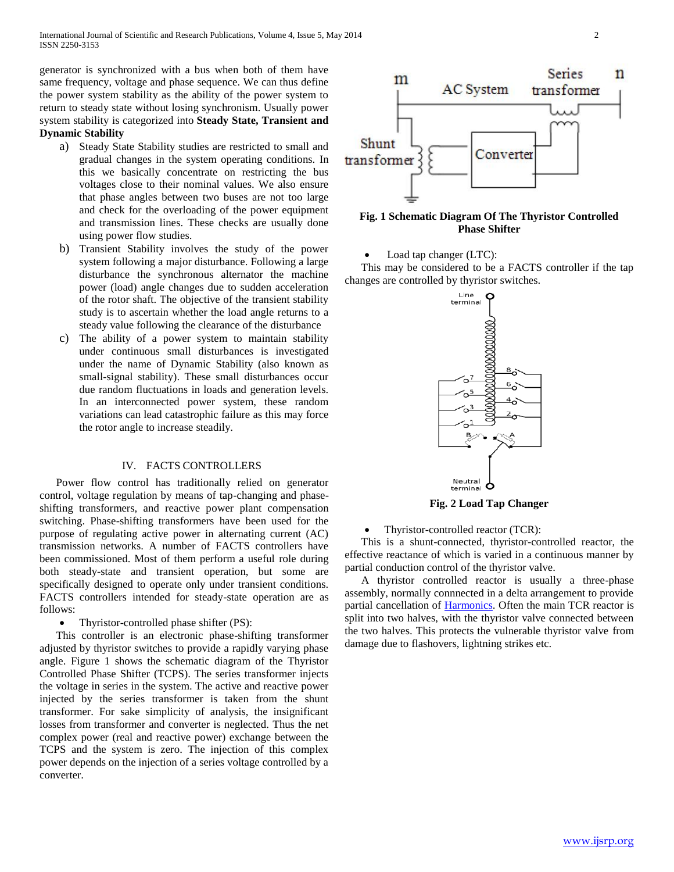International Journal of Scientific and Research Publications, Volume 4, Issue 5, May 2014 2 ISSN 2250-3153

generator is synchronized with a bus when both of them have same frequency, voltage and phase sequence. We can thus define the power system stability as the ability of the power system to return to steady state without losing synchronism. Usually power system stability is categorized into **Steady State, Transient and Dynamic Stability**

- a) Steady State Stability studies are restricted to small and gradual changes in the system operating conditions. In this we basically concentrate on restricting the bus voltages close to their nominal values. We also ensure that phase angles between two buses are not too large and check for the overloading of the power equipment and transmission lines. These checks are usually done using power flow studies.
- b) Transient Stability involves the study of the power system following a major disturbance. Following a large disturbance the synchronous alternator the machine power (load) angle changes due to sudden acceleration of the rotor shaft. The objective of the transient stability study is to ascertain whether the load angle returns to a steady value following the clearance of the disturbance
- c) The ability of a power system to maintain stability under continuous small disturbances is investigated under the name of Dynamic Stability (also known as small-signal stability). These small disturbances occur due random fluctuations in loads and generation levels. In an interconnected power system, these random variations can lead catastrophic failure as this may force the rotor angle to increase steadily.

## IV. FACTS CONTROLLERS

 Power flow control has traditionally relied on generator control, voltage regulation by means of tap-changing and phaseshifting transformers, and reactive power plant compensation switching. Phase-shifting transformers have been used for the purpose of regulating active power in alternating current (AC) transmission networks. A number of FACTS controllers have been commissioned. Most of them perform a useful role during both steady-state and transient operation, but some are specifically designed to operate only under transient conditions. FACTS controllers intended for steady-state operation are as follows:

• Thyristor-controlled phase shifter (PS):

 This controller is an electronic phase-shifting transformer adjusted by thyristor switches to provide a rapidly varying phase angle. Figure 1 shows the schematic diagram of the Thyristor Controlled Phase Shifter (TCPS). The series transformer injects the voltage in series in the system. The active and reactive power injected by the series transformer is taken from the shunt transformer. For sake simplicity of analysis, the insignificant losses from transformer and converter is neglected. Thus the net complex power (real and reactive power) exchange between the TCPS and the system is zero. The injection of this complex power depends on the injection of a series voltage controlled by a converter.



**Fig. 1 Schematic Diagram Of The Thyristor Controlled Phase Shifter**

Load tap changer (LTC):

 This may be considered to be a FACTS controller if the tap changes are controlled by thyristor switches.



**Fig. 2 Load Tap Changer**

## Thyristor-controlled reactor (TCR):

 This is a shunt-connected, thyristor-controlled reactor, the effective reactance of which is varied in a continuous manner by partial conduction control of the thyristor valve.

 A thyristor controlled reactor is usually a three-phase assembly, normally connnected in a delta arrangement to provide partial cancellation of **Harmonics**. Often the main TCR reactor is split into two halves, with the thyristor valve connected between the two halves. This protects the vulnerable thyristor valve from damage due to flashovers, lightning strikes etc.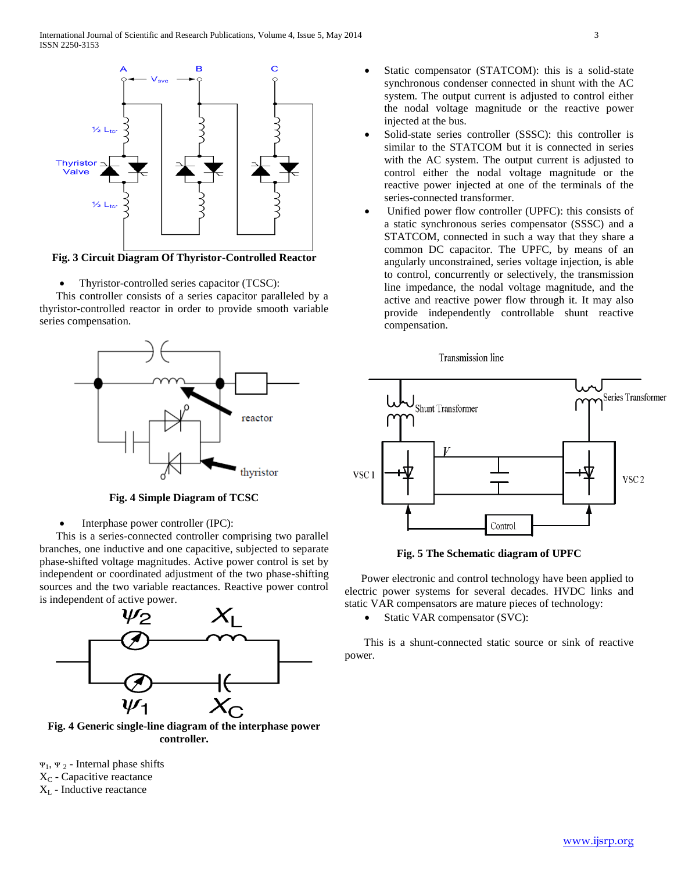

**Fig. 3 Circuit Diagram Of Thyristor-Controlled Reactor**

Thyristor-controlled series capacitor (TCSC):

 This controller consists of a series capacitor paralleled by a thyristor-controlled reactor in order to provide smooth variable series compensation.



**Fig. 4 Simple Diagram of TCSC**

Interphase power controller (IPC):

 This is a series-connected controller comprising two parallel branches, one inductive and one capacitive, subjected to separate phase-shifted voltage magnitudes. Active power control is set by independent or coordinated adjustment of the two phase-shifting sources and the two variable reactances. Reactive power control is independent of active power.



**Fig. 4 Generic single-line diagram of the interphase power controller.**

- $\Psi_1$ ,  $\Psi_2$  Internal phase shifts
- $X_C$  Capacitive reactance
- $X_L$  Inductive reactance
- Static compensator (STATCOM): this is a solid-state synchronous condenser connected in shunt with the AC system. The output current is adjusted to control either the nodal voltage magnitude or the reactive power injected at the bus.
- Solid-state series controller (SSSC): this controller is similar to the STATCOM but it is connected in series with the AC system. The output current is adjusted to control either the nodal voltage magnitude or the reactive power injected at one of the terminals of the series-connected transformer.
- Unified power flow controller (UPFC): this consists of a static synchronous series compensator (SSSC) and a STATCOM, connected in such a way that they share a common DC capacitor. The UPFC, by means of an angularly unconstrained, series voltage injection, is able to control, concurrently or selectively, the transmission line impedance, the nodal voltage magnitude, and the active and reactive power flow through it. It may also provide independently controllable shunt reactive compensation.



**Fig. 5 The Schematic diagram of UPFC**

 Power electronic and control technology have been applied to electric power systems for several decades. HVDC links and static VAR compensators are mature pieces of technology:

• Static VAR compensator (SVC):

 This is a shunt-connected static source or sink of reactive power.